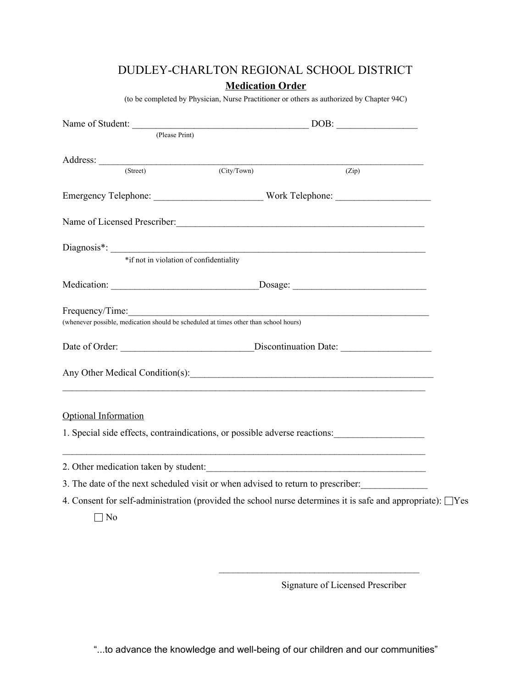# DUDLEY-CHARLTON REGIONAL SCHOOL DISTRICT **Medication Order**

(to be completed by Physician, Nurse Practitioner or others as authorized by Chapter 94C)

|                                                                                                                  | Name of Student: DOB: DOB: |       |  |  |
|------------------------------------------------------------------------------------------------------------------|----------------------------|-------|--|--|
| (Please Print)                                                                                                   |                            |       |  |  |
|                                                                                                                  |                            |       |  |  |
| (Street)                                                                                                         | (City/ Town)               | (Zip) |  |  |
|                                                                                                                  |                            |       |  |  |
| Name of Licensed Prescriber: Manual Communication of Licensed Prescriber:                                        |                            |       |  |  |
|                                                                                                                  |                            |       |  |  |
| *if not in violation of confidentiality                                                                          |                            |       |  |  |
|                                                                                                                  |                            |       |  |  |
| Frequency/Time:<br>(whenever possible, medication should be scheduled at times other than school hours)          |                            |       |  |  |
| Date of Order: __________________________________Discontinuation Date: _____________________________             |                            |       |  |  |
|                                                                                                                  |                            |       |  |  |
| <b>Optional Information</b>                                                                                      |                            |       |  |  |
| 1. Special side effects, contraindications, or possible adverse reactions:                                       |                            |       |  |  |
| 2. Other medication taken by student:                                                                            |                            |       |  |  |
| 3. The date of the next scheduled visit or when advised to return to prescriber:                                 |                            |       |  |  |
| 4. Consent for self-administration (provided the school nurse determines it is safe and appropriate): $\Box$ Yes |                            |       |  |  |
| $\neg$ No                                                                                                        |                            |       |  |  |

Signature of Licensed Prescriber

 $\mathcal{L}_\text{max}$ 

"...to advance the knowledge and well-being of our children and our communities"